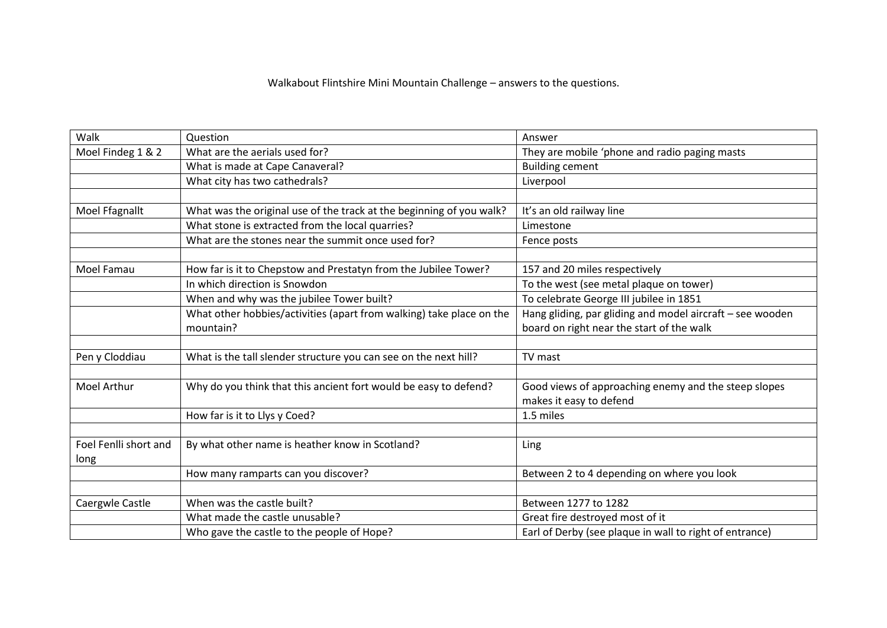## Walkabout Flintshire Mini Mountain Challenge – answers to the questions.

| Walk                  | Question                                                             | Answer                                                    |
|-----------------------|----------------------------------------------------------------------|-----------------------------------------------------------|
| Moel Findeg 1 & 2     | What are the aerials used for?                                       | They are mobile 'phone and radio paging masts             |
|                       | What is made at Cape Canaveral?                                      | <b>Building cement</b>                                    |
|                       | What city has two cathedrals?                                        | Liverpool                                                 |
|                       |                                                                      |                                                           |
| Moel Ffagnallt        | What was the original use of the track at the beginning of you walk? | It's an old railway line                                  |
|                       | What stone is extracted from the local quarries?                     | Limestone                                                 |
|                       | What are the stones near the summit once used for?                   | Fence posts                                               |
|                       |                                                                      |                                                           |
| Moel Famau            | How far is it to Chepstow and Prestatyn from the Jubilee Tower?      | 157 and 20 miles respectively                             |
|                       | In which direction is Snowdon                                        | To the west (see metal plaque on tower)                   |
|                       | When and why was the jubilee Tower built?                            | To celebrate George III jubilee in 1851                   |
|                       | What other hobbies/activities (apart from walking) take place on the | Hang gliding, par gliding and model aircraft - see wooden |
|                       | mountain?                                                            | board on right near the start of the walk                 |
|                       |                                                                      |                                                           |
| Pen y Cloddiau        | What is the tall slender structure you can see on the next hill?     | TV mast                                                   |
|                       |                                                                      |                                                           |
| Moel Arthur           | Why do you think that this ancient fort would be easy to defend?     | Good views of approaching enemy and the steep slopes      |
|                       |                                                                      | makes it easy to defend                                   |
|                       | How far is it to Llys y Coed?                                        | 1.5 miles                                                 |
|                       |                                                                      |                                                           |
| Foel Fenlli short and | By what other name is heather know in Scotland?                      | Ling                                                      |
| long                  |                                                                      |                                                           |
|                       | How many ramparts can you discover?                                  | Between 2 to 4 depending on where you look                |
|                       |                                                                      |                                                           |
| Caergwle Castle       | When was the castle built?                                           | Between 1277 to 1282                                      |
|                       | What made the castle unusable?                                       | Great fire destroyed most of it                           |
|                       | Who gave the castle to the people of Hope?                           | Earl of Derby (see plaque in wall to right of entrance)   |